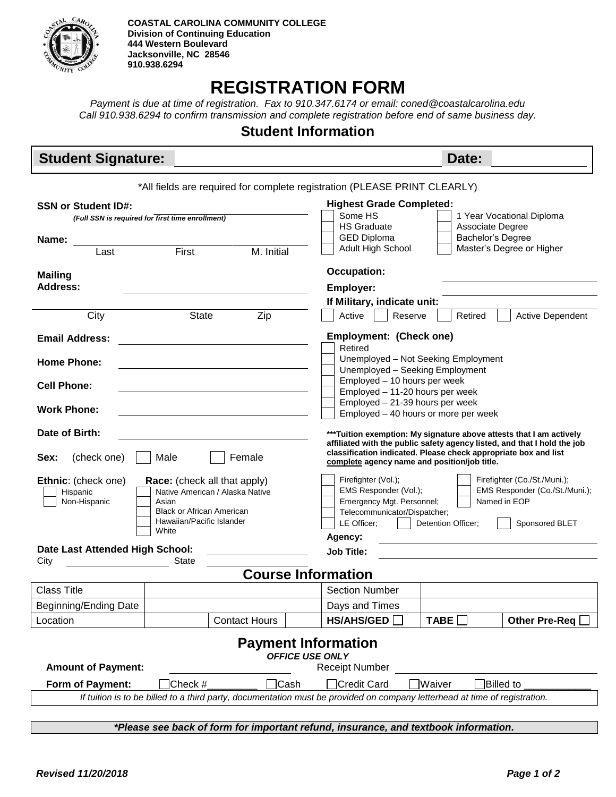

## **REGISTRATION FORM**

*Payment is due at time of registration. Fax to 910.347.6174 or email: coned@coastalcarolina.edu Call 910.938.6294 to confirm transmission and complete registration before end of same business day.*

## **Student Information**

| <b>Student Signature:</b>                                                                                                                                                                                                                                                                                                     |              |                      | Date:                                                                                                                                                                                                                                                         |  |  |  |  |  |
|-------------------------------------------------------------------------------------------------------------------------------------------------------------------------------------------------------------------------------------------------------------------------------------------------------------------------------|--------------|----------------------|---------------------------------------------------------------------------------------------------------------------------------------------------------------------------------------------------------------------------------------------------------------|--|--|--|--|--|
| *All fields are required for complete registration (PLEASE PRINT CLEARLY)                                                                                                                                                                                                                                                     |              |                      |                                                                                                                                                                                                                                                               |  |  |  |  |  |
| <b>SSN or Student ID#:</b>                                                                                                                                                                                                                                                                                                    |              |                      | <b>Highest Grade Completed:</b>                                                                                                                                                                                                                               |  |  |  |  |  |
| (Full SSN is required for first time enrollment)                                                                                                                                                                                                                                                                              |              |                      | Some HS<br>1 Year Vocational Diploma                                                                                                                                                                                                                          |  |  |  |  |  |
|                                                                                                                                                                                                                                                                                                                               |              |                      | <b>HS Graduate</b><br>Associate Degree<br><b>GED Diploma</b><br>Bachelor's Degree                                                                                                                                                                             |  |  |  |  |  |
| Name:<br>Last                                                                                                                                                                                                                                                                                                                 | First        | M. Initial           | Master's Degree or Higher<br>Adult High School                                                                                                                                                                                                                |  |  |  |  |  |
|                                                                                                                                                                                                                                                                                                                               |              |                      |                                                                                                                                                                                                                                                               |  |  |  |  |  |
| <b>Mailing</b><br><b>Address:</b>                                                                                                                                                                                                                                                                                             |              |                      | <b>Occupation:</b>                                                                                                                                                                                                                                            |  |  |  |  |  |
|                                                                                                                                                                                                                                                                                                                               |              |                      | <b>Employer:</b>                                                                                                                                                                                                                                              |  |  |  |  |  |
|                                                                                                                                                                                                                                                                                                                               |              |                      | If Military, indicate unit:                                                                                                                                                                                                                                   |  |  |  |  |  |
| City                                                                                                                                                                                                                                                                                                                          | <b>State</b> | Zip                  | Reserve<br>Active<br>Retired<br><b>Active Dependent</b>                                                                                                                                                                                                       |  |  |  |  |  |
| <b>Email Address:</b>                                                                                                                                                                                                                                                                                                         |              |                      | <b>Employment: (Check one)</b><br>Retired                                                                                                                                                                                                                     |  |  |  |  |  |
| <b>Home Phone:</b>                                                                                                                                                                                                                                                                                                            |              |                      | Unemployed - Not Seeking Employment                                                                                                                                                                                                                           |  |  |  |  |  |
|                                                                                                                                                                                                                                                                                                                               |              |                      | Unemployed - Seeking Employment                                                                                                                                                                                                                               |  |  |  |  |  |
| <b>Cell Phone:</b>                                                                                                                                                                                                                                                                                                            |              |                      | Employed - 10 hours per week<br>Employed - 11-20 hours per week                                                                                                                                                                                               |  |  |  |  |  |
|                                                                                                                                                                                                                                                                                                                               |              |                      | Employed - 21-39 hours per week                                                                                                                                                                                                                               |  |  |  |  |  |
| <b>Work Phone:</b>                                                                                                                                                                                                                                                                                                            |              |                      | Employed - 40 hours or more per week                                                                                                                                                                                                                          |  |  |  |  |  |
| Date of Birth:<br>***Tuition exemption: My signature above attests that I am actively<br>affiliated with the public safety agency listed, and that I hold the job<br>classification indicated. Please check appropriate box and list<br>Sex:<br>(check one)<br>Female<br>Male<br>complete agency name and position/job title. |              |                      |                                                                                                                                                                                                                                                               |  |  |  |  |  |
| Ethnic: (check one)<br><b>Race:</b> (check all that apply)<br>Native American / Alaska Native<br>Hispanic<br>Non-Hispanic<br>Asian<br><b>Black or African American</b><br>Hawaiian/Pacific Islander<br>White                                                                                                                  |              |                      | Firefighter (Vol.);<br>Firefighter (Co./St./Muni.);<br>EMS Responder (Vol.);<br>EMS Responder (Co./St./Muni.);<br>Named in EOP<br>Emergency Mgt. Personnel;<br>Telecommunicator/Dispatcher;<br>LE Officer;<br>Detention Officer;<br>Sponsored BLET<br>Agency: |  |  |  |  |  |
| Date Last Attended High School:                                                                                                                                                                                                                                                                                               |              |                      | <b>Job Title:</b>                                                                                                                                                                                                                                             |  |  |  |  |  |
| City                                                                                                                                                                                                                                                                                                                          | State        |                      |                                                                                                                                                                                                                                                               |  |  |  |  |  |
| <b>Course Information</b>                                                                                                                                                                                                                                                                                                     |              |                      |                                                                                                                                                                                                                                                               |  |  |  |  |  |
| <b>Class Title</b>                                                                                                                                                                                                                                                                                                            |              |                      | <b>Section Number</b>                                                                                                                                                                                                                                         |  |  |  |  |  |
| Beginning/Ending Date                                                                                                                                                                                                                                                                                                         |              |                      | Days and Times                                                                                                                                                                                                                                                |  |  |  |  |  |
| Location                                                                                                                                                                                                                                                                                                                      |              | <b>Contact Hours</b> | <b>HS/AHS/GED</b><br><b>TABE</b><br><b>Other Pre-Req</b>                                                                                                                                                                                                      |  |  |  |  |  |
| <b>Payment Information</b><br><b>OFFICE USE ONLY</b><br><b>Amount of Payment:</b><br><b>Receipt Number</b>                                                                                                                                                                                                                    |              |                      |                                                                                                                                                                                                                                                               |  |  |  |  |  |
| Form of Payment:<br>Check #<br>$\sqsupset$ Cash<br>Waiver<br><b>Billed</b> to<br>Credit Card                                                                                                                                                                                                                                  |              |                      |                                                                                                                                                                                                                                                               |  |  |  |  |  |
| If tuition is to be billed to a third party, documentation must be provided on company letterhead at time of registration.                                                                                                                                                                                                    |              |                      |                                                                                                                                                                                                                                                               |  |  |  |  |  |
|                                                                                                                                                                                                                                                                                                                               |              |                      |                                                                                                                                                                                                                                                               |  |  |  |  |  |
| *Please see back of form for important refund, insurance, and textbook information.                                                                                                                                                                                                                                           |              |                      |                                                                                                                                                                                                                                                               |  |  |  |  |  |